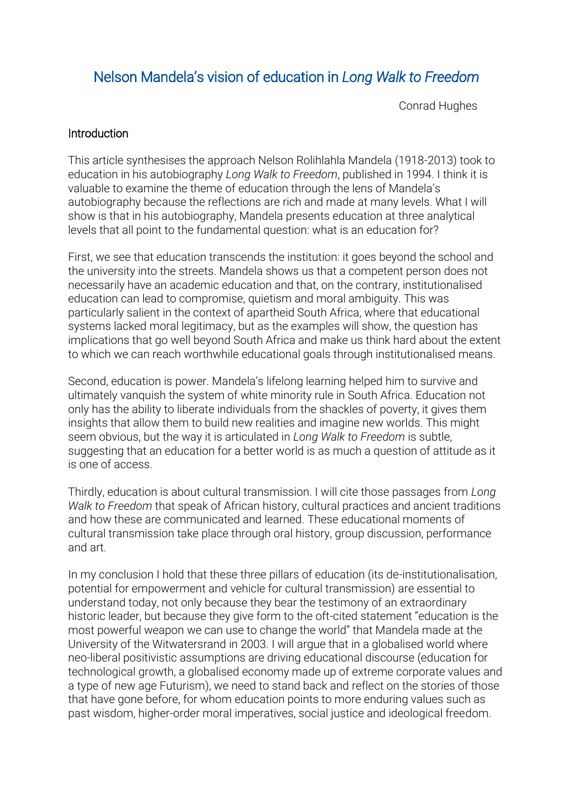# Nelson Mandela's vision of education in *Long Walk to Freedom*

Conrad Hughes

### **Introduction**

This article synthesises the approach Nelson Rolihlahla Mandela (1918-2013) took to education in his autobiography *Long Walk to Freedom*, published in 1994. I think it is valuable to examine the theme of education through the lens of Mandela's autobiography because the reflections are rich and made at many levels. What I will show is that in his autobiography, Mandela presents education at three analytical levels that all point to the fundamental question: what is an education for?

First, we see that education transcends the institution: it goes beyond the school and the university into the streets. Mandela shows us that a competent person does not necessarily have an academic education and that, on the contrary, institutionalised education can lead to compromise, quietism and moral ambiguity. This was particularly salient in the context of apartheid South Africa, where that educational systems lacked moral legitimacy, but as the examples will show, the question has implications that go well beyond South Africa and make us think hard about the extent to which we can reach worthwhile educational goals through institutionalised means.

Second, education is power. Mandela's lifelong learning helped him to survive and ultimately vanquish the system of white minority rule in South Africa. Education not only has the ability to liberate individuals from the shackles of poverty, it gives them insights that allow them to build new realities and imagine new worlds. This might seem obvious, but the way it is articulated in *Long Walk to Freedom* is subtle, suggesting that an education for a better world is as much a question of attitude as it is one of access.

Thirdly, education is about cultural transmission. I will cite those passages from *Long Walk to Freedom* that speak of African history, cultural practices and ancient traditions and how these are communicated and learned. These educational moments of cultural transmission take place through oral history, group discussion, performance and art.

In my conclusion I hold that these three pillars of education (its de-institutionalisation, potential for empowerment and vehicle for cultural transmission) are essential to understand today, not only because they bear the testimony of an extraordinary historic leader, but because they give form to the oft-cited statement "education is the most powerful weapon we can use to change the world" that Mandela made at the University of the Witwatersrand in 2003. I will argue that in a globalised world where neo-liberal positivistic assumptions are driving educational discourse (education for technological growth, a globalised economy made up of extreme corporate values and a type of new age Futurism), we need to stand back and reflect on the stories of those that have gone before, for whom education points to more enduring values such as past wisdom, higher-order moral imperatives, social justice and ideological freedom.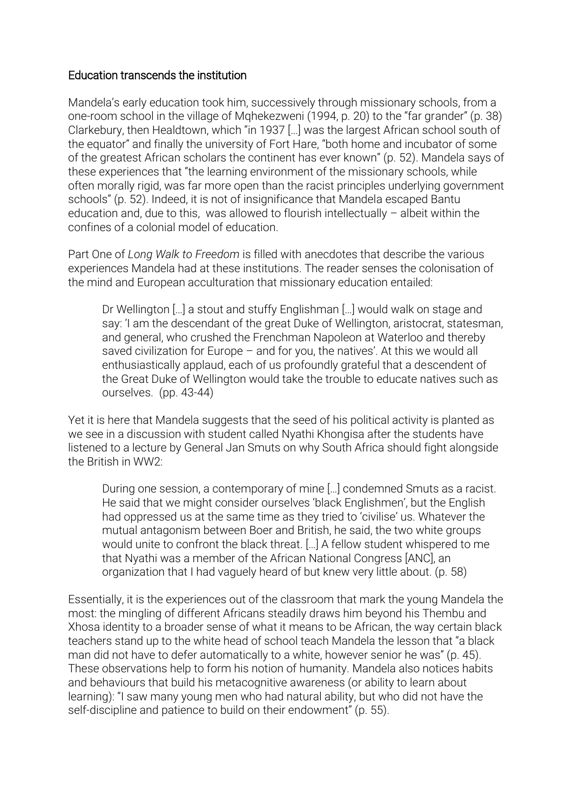### Education transcends the institution

Mandela's early education took him, successively through missionary schools, from a one-room school in the village of Mqhekezweni (1994, p. 20) to the "far grander" (p. 38) Clarkebury, then Healdtown, which "in 1937 […] was the largest African school south of the equator" and finally the university of Fort Hare, "both home and incubator of some of the greatest African scholars the continent has ever known" (p. 52). Mandela says of these experiences that "the learning environment of the missionary schools, while often morally rigid, was far more open than the racist principles underlying government schools" (p. 52). Indeed, it is not of insignificance that Mandela escaped Bantu education and, due to this, was allowed to flourish intellectually – albeit within the confines of a colonial model of education.

Part One of *Long Walk to Freedom* is filled with anecdotes that describe the various experiences Mandela had at these institutions. The reader senses the colonisation of the mind and European acculturation that missionary education entailed:

Dr Wellington […] a stout and stuffy Englishman […] would walk on stage and say: 'I am the descendant of the great Duke of Wellington, aristocrat, statesman, and general, who crushed the Frenchman Napoleon at Waterloo and thereby saved civilization for Europe – and for you, the natives'. At this we would all enthusiastically applaud, each of us profoundly grateful that a descendent of the Great Duke of Wellington would take the trouble to educate natives such as ourselves. (pp. 43-44)

Yet it is here that Mandela suggests that the seed of his political activity is planted as we see in a discussion with student called Nyathi Khongisa after the students have listened to a lecture by General Jan Smuts on why South Africa should fight alongside the British in WW2:

During one session, a contemporary of mine […] condemned Smuts as a racist. He said that we might consider ourselves 'black Englishmen', but the English had oppressed us at the same time as they tried to 'civilise' us. Whatever the mutual antagonism between Boer and British, he said, the two white groups would unite to confront the black threat. […] A fellow student whispered to me that Nyathi was a member of the African National Congress [ANC], an organization that I had vaguely heard of but knew very little about. (p. 58)

Essentially, it is the experiences out of the classroom that mark the young Mandela the most: the mingling of different Africans steadily draws him beyond his Thembu and Xhosa identity to a broader sense of what it means to be African, the way certain black teachers stand up to the white head of school teach Mandela the lesson that "a black man did not have to defer automatically to a white, however senior he was" (p. 45). These observations help to form his notion of humanity. Mandela also notices habits and behaviours that build his metacognitive awareness (or ability to learn about learning): "I saw many young men who had natural ability, but who did not have the self-discipline and patience to build on their endowment" (p. 55).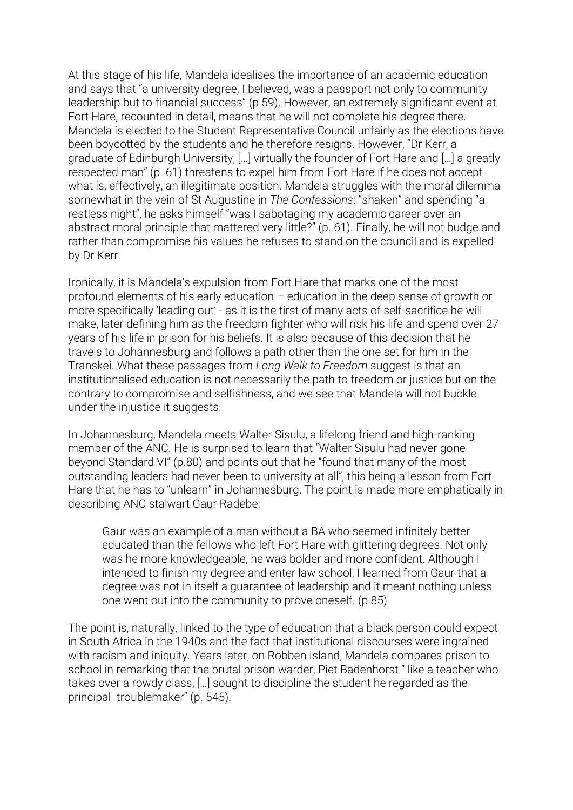At this stage of his life, Mandela idealises the importance of an academic education and says that "a university degree, I believed, was a passport not only to community leadership but to financial success" (p.59). However, an extremely significant event at Fort Hare, recounted in detail, means that he will not complete his degree there. Mandela is elected to the Student Representative Council unfairly as the elections have been boycotted by the students and he therefore resigns. However, "Dr Kerr, a graduate of Edinburgh University, […] virtually the founder of Fort Hare and […] a greatly respected man" (p. 61) threatens to expel him from Fort Hare if he does not accept what is, effectively, an illegitimate position. Mandela struggles with the moral dilemma somewhat in the vein of St Augustine in *The Confessions*: "shaken" and spending "a restless night", he asks himself "was I sabotaging my academic career over an abstract moral principle that mattered very little?" (p. 61). Finally, he will not budge and rather than compromise his values he refuses to stand on the council and is expelled by Dr Kerr.

Ironically, it is Mandela's expulsion from Fort Hare that marks one of the most profound elements of his early education – education in the deep sense of growth or more specifically 'leading out' - as it is the first of many acts of self-sacrifice he will make, later defining him as the freedom fighter who will risk his life and spend over 27 years of his life in prison for his beliefs. It is also because of this decision that he travels to Johannesburg and follows a path other than the one set for him in the Transkei. What these passages from *Long Walk to Freedom* suggest is that an institutionalised education is not necessarily the path to freedom or justice but on the contrary to compromise and selfishness, and we see that Mandela will not buckle under the injustice it suggests.

In Johannesburg, Mandela meets Walter Sisulu, a lifelong friend and high-ranking member of the ANC. He is surprised to learn that "Walter Sisulu had never gone beyond Standard VI" (p.80) and points out that he "found that many of the most outstanding leaders had never been to university at all", this being a lesson from Fort Hare that he has to "unlearn" in Johannesburg. The point is made more emphatically in describing ANC stalwart Gaur Radebe:

Gaur was an example of a man without a BA who seemed infinitely better educated than the fellows who left Fort Hare with glittering degrees. Not only was he more knowledgeable, he was bolder and more confident. Although I intended to finish my degree and enter law school, I learned from Gaur that a degree was not in itself a guarantee of leadership and it meant nothing unless one went out into the community to prove oneself. (p.85)

The point is, naturally, linked to the type of education that a black person could expect in South Africa in the 1940s and the fact that institutional discourses were ingrained with racism and iniquity. Years later, on Robben Island, Mandela compares prison to school in remarking that the brutal prison warder, Piet Badenhorst " like a teacher who takes over a rowdy class, […] sought to discipline the student he regarded as the principal troublemaker" (p. 545).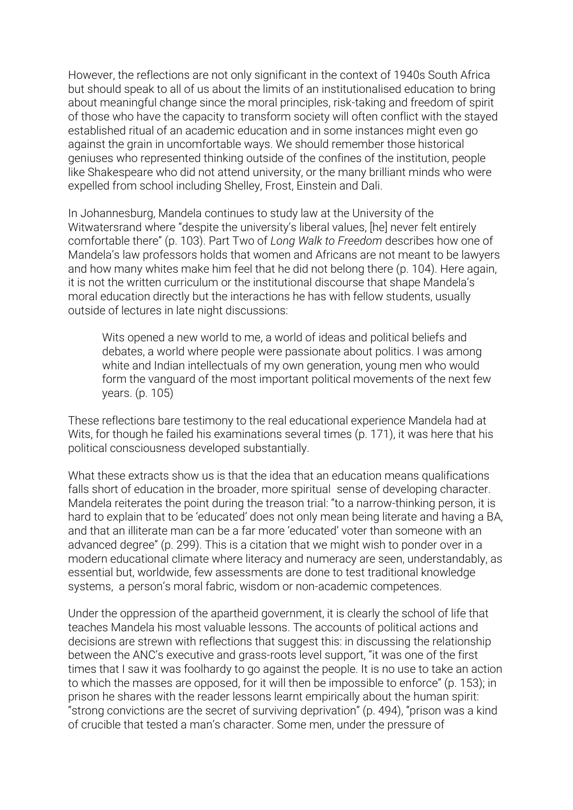However, the reflections are not only significant in the context of 1940s South Africa but should speak to all of us about the limits of an institutionalised education to bring about meaningful change since the moral principles, risk-taking and freedom of spirit of those who have the capacity to transform society will often conflict with the stayed established ritual of an academic education and in some instances might even go against the grain in uncomfortable ways. We should remember those historical geniuses who represented thinking outside of the confines of the institution, people like Shakespeare who did not attend university, or the many brilliant minds who were expelled from school including Shelley, Frost, Einstein and Dali.

In Johannesburg, Mandela continues to study law at the University of the Witwatersrand where "despite the university's liberal values, [he] never felt entirely comfortable there" (p. 103). Part Two of *Long Walk to Freedom* describes how one of Mandela's law professors holds that women and Africans are not meant to be lawyers and how many whites make him feel that he did not belong there (p. 104). Here again, it is not the written curriculum or the institutional discourse that shape Mandela's moral education directly but the interactions he has with fellow students, usually outside of lectures in late night discussions:

Wits opened a new world to me, a world of ideas and political beliefs and debates, a world where people were passionate about politics. I was among white and Indian intellectuals of my own generation, young men who would form the vanguard of the most important political movements of the next few years. (p. 105)

These reflections bare testimony to the real educational experience Mandela had at Wits, for though he failed his examinations several times (p. 171), it was here that his political consciousness developed substantially.

What these extracts show us is that the idea that an education means qualifications falls short of education in the broader, more spiritual sense of developing character. Mandela reiterates the point during the treason trial: "to a narrow-thinking person, it is hard to explain that to be 'educated' does not only mean being literate and having a BA, and that an illiterate man can be a far more 'educated' voter than someone with an advanced degree" (p. 299). This is a citation that we might wish to ponder over in a modern educational climate where literacy and numeracy are seen, understandably, as essential but, worldwide, few assessments are done to test traditional knowledge systems, a person's moral fabric, wisdom or non-academic competences.

Under the oppression of the apartheid government, it is clearly the school of life that teaches Mandela his most valuable lessons. The accounts of political actions and decisions are strewn with reflections that suggest this: in discussing the relationship between the ANC's executive and grass-roots level support, "it was one of the first times that I saw it was foolhardy to go against the people. It is no use to take an action to which the masses are opposed, for it will then be impossible to enforce" (p. 153); in prison he shares with the reader lessons learnt empirically about the human spirit: "strong convictions are the secret of surviving deprivation" (p. 494), "prison was a kind of crucible that tested a man's character. Some men, under the pressure of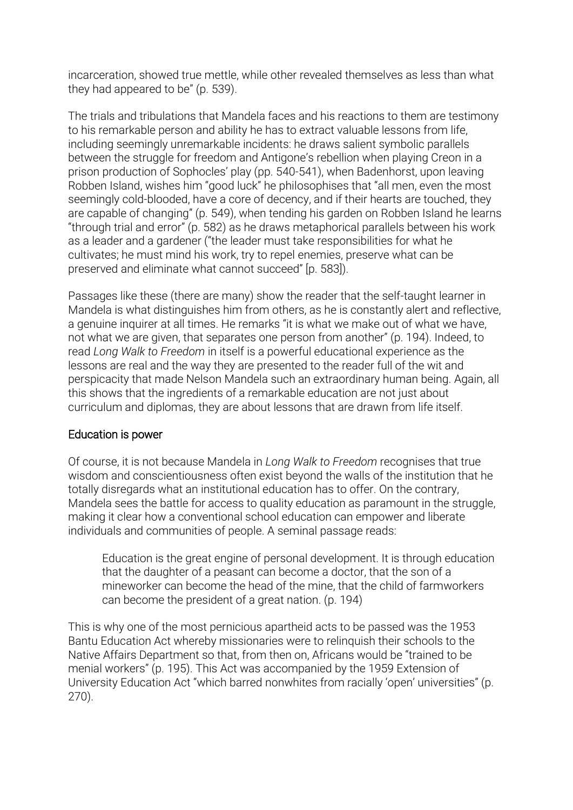incarceration, showed true mettle, while other revealed themselves as less than what they had appeared to be" (p. 539).

The trials and tribulations that Mandela faces and his reactions to them are testimony to his remarkable person and ability he has to extract valuable lessons from life, including seemingly unremarkable incidents: he draws salient symbolic parallels between the struggle for freedom and Antigone's rebellion when playing Creon in a prison production of Sophocles' play (pp. 540-541), when Badenhorst, upon leaving Robben Island, wishes him "good luck" he philosophises that "all men, even the most seemingly cold-blooded, have a core of decency, and if their hearts are touched, they are capable of changing" (p. 549), when tending his garden on Robben Island he learns "through trial and error" (p. 582) as he draws metaphorical parallels between his work as a leader and a gardener ("the leader must take responsibilities for what he cultivates; he must mind his work, try to repel enemies, preserve what can be preserved and eliminate what cannot succeed" [p. 583]).

Passages like these (there are many) show the reader that the self-taught learner in Mandela is what distinguishes him from others, as he is constantly alert and reflective, a genuine inquirer at all times. He remarks "it is what we make out of what we have, not what we are given, that separates one person from another" (p. 194). Indeed, to read *Long Walk to Freedom* in itself is a powerful educational experience as the lessons are real and the way they are presented to the reader full of the wit and perspicacity that made Nelson Mandela such an extraordinary human being. Again, all this shows that the ingredients of a remarkable education are not just about curriculum and diplomas, they are about lessons that are drawn from life itself.

# Education is power

Of course, it is not because Mandela in *Long Walk to Freedom* recognises that true wisdom and conscientiousness often exist beyond the walls of the institution that he totally disregards what an institutional education has to offer. On the contrary, Mandela sees the battle for access to quality education as paramount in the struggle, making it clear how a conventional school education can empower and liberate individuals and communities of people. A seminal passage reads:

Education is the great engine of personal development. It is through education that the daughter of a peasant can become a doctor, that the son of a mineworker can become the head of the mine, that the child of farmworkers can become the president of a great nation. (p. 194)

This is why one of the most pernicious apartheid acts to be passed was the 1953 Bantu Education Act whereby missionaries were to relinquish their schools to the Native Affairs Department so that, from then on, Africans would be "trained to be menial workers" (p. 195). This Act was accompanied by the 1959 Extension of University Education Act "which barred nonwhites from racially 'open' universities" (p. 270).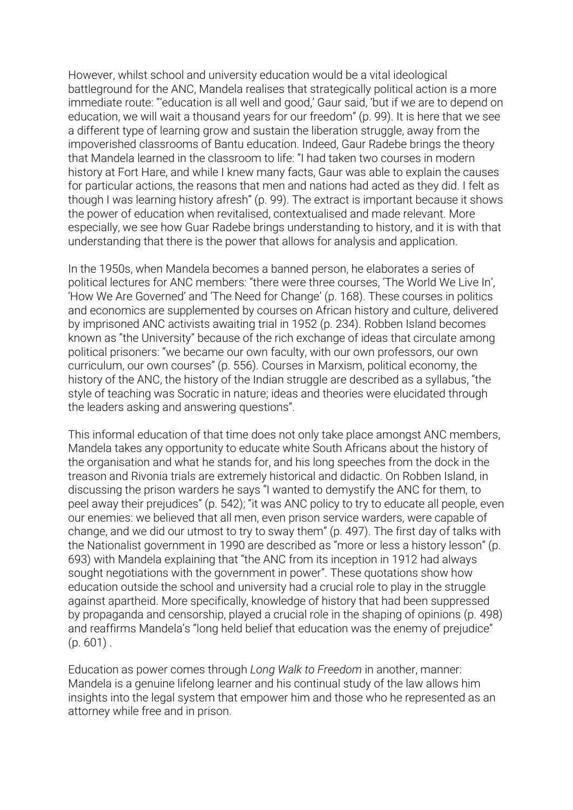However, whilst school and university education would be a vital ideological battleground for the ANC, Mandela realises that strategically political action is a more immediate route: "'education is all well and good,' Gaur said, 'but if we are to depend on education, we will wait a thousand years for our freedom" (p. 99). It is here that we see a different type of learning grow and sustain the liberation struggle, away from the impoverished classrooms of Bantu education. Indeed, Gaur Radebe brings the theory that Mandela learned in the classroom to life: "I had taken two courses in modern history at Fort Hare, and while I knew many facts, Gaur was able to explain the causes for particular actions, the reasons that men and nations had acted as they did. I felt as though I was learning history afresh" (p. 99). The extract is important because it shows the power of education when revitalised, contextualised and made relevant. More especially, we see how Guar Radebe brings understanding to history, and it is with that understanding that there is the power that allows for analysis and application.

In the 1950s, when Mandela becomes a banned person, he elaborates a series of political lectures for ANC members: "there were three courses, 'The World We Live In', 'How We Are Governed' and 'The Need for Change' (p. 168). These courses in politics and economics are supplemented by courses on African history and culture, delivered by imprisoned ANC activists awaiting trial in 1952 (p. 234). Robben Island becomes known as "the University" because of the rich exchange of ideas that circulate among political prisoners: "we became our own faculty, with our own professors, our own curriculum, our own courses" (p. 556). Courses in Marxism, political economy, the history of the ANC, the history of the Indian struggle are described as a syllabus, "the style of teaching was Socratic in nature; ideas and theories were elucidated through the leaders asking and answering questions".

This informal education of that time does not only take place amongst ANC members, Mandela takes any opportunity to educate white South Africans about the history of the organisation and what he stands for, and his long speeches from the dock in the treason and Rivonia trials are extremely historical and didactic. On Robben Island, in discussing the prison warders he says "I wanted to demystify the ANC for them, to peel away their prejudices" (p. 542); "it was ANC policy to try to educate all people, even our enemies: we believed that all men, even prison service warders, were capable of change, and we did our utmost to try to sway them" (p. 497). The first day of talks with the Nationalist government in 1990 are described as "more or less a history lesson" (p. 693) with Mandela explaining that "the ANC from its inception in 1912 had always sought negotiations with the government in power". These quotations show how education outside the school and university had a crucial role to play in the struggle against apartheid. More specifically, knowledge of history that had been suppressed by propaganda and censorship, played a crucial role in the shaping of opinions (p. 498) and reaffirms Mandela's "long held belief that education was the enemy of prejudice"  $(p. 601)$ .

Education as power comes through *Long Walk to Freedom* in another, manner: Mandela is a genuine lifelong learner and his continual study of the law allows him insights into the legal system that empower him and those who he represented as an attorney while free and in prison.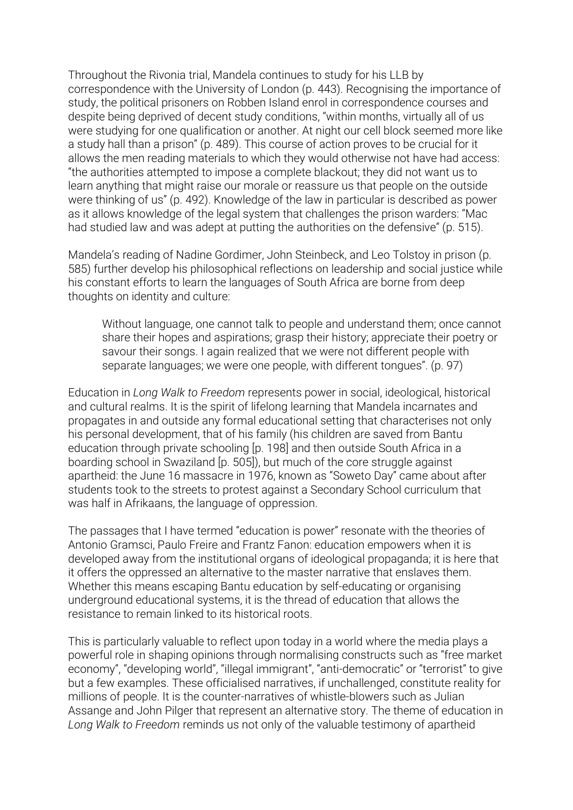Throughout the Rivonia trial, Mandela continues to study for his LLB by correspondence with the University of London (p. 443). Recognising the importance of study, the political prisoners on Robben Island enrol in correspondence courses and despite being deprived of decent study conditions, "within months, virtually all of us were studying for one qualification or another. At night our cell block seemed more like a study hall than a prison" (p. 489). This course of action proves to be crucial for it allows the men reading materials to which they would otherwise not have had access: "the authorities attempted to impose a complete blackout; they did not want us to learn anything that might raise our morale or reassure us that people on the outside were thinking of us" (p. 492). Knowledge of the law in particular is described as power as it allows knowledge of the legal system that challenges the prison warders: "Mac had studied law and was adept at putting the authorities on the defensive" (p. 515).

Mandela's reading of Nadine Gordimer, John Steinbeck, and Leo Tolstoy in prison (p. 585) further develop his philosophical reflections on leadership and social justice while his constant efforts to learn the languages of South Africa are borne from deep thoughts on identity and culture:

Without language, one cannot talk to people and understand them; once cannot share their hopes and aspirations; grasp their history; appreciate their poetry or savour their songs. I again realized that we were not different people with separate languages; we were one people, with different tongues". (p. 97)

Education in *Long Walk to Freedom* represents power in social, ideological, historical and cultural realms. It is the spirit of lifelong learning that Mandela incarnates and propagates in and outside any formal educational setting that characterises not only his personal development, that of his family (his children are saved from Bantu education through private schooling [p. 198] and then outside South Africa in a boarding school in Swaziland [p. 505]), but much of the core struggle against apartheid: the June 16 massacre in 1976, known as "Soweto Day" came about after students took to the streets to protest against a Secondary School curriculum that was half in Afrikaans, the language of oppression.

The passages that I have termed "education is power" resonate with the theories of Antonio Gramsci, Paulo Freire and Frantz Fanon: education empowers when it is developed away from the institutional organs of ideological propaganda; it is here that it offers the oppressed an alternative to the master narrative that enslaves them. Whether this means escaping Bantu education by self-educating or organising underground educational systems, it is the thread of education that allows the resistance to remain linked to its historical roots.

This is particularly valuable to reflect upon today in a world where the media plays a powerful role in shaping opinions through normalising constructs such as "free market economy", "developing world", "illegal immigrant", "anti-democratic" or "terrorist" to give but a few examples. These officialised narratives, if unchallenged, constitute reality for millions of people. It is the counter-narratives of whistle-blowers such as Julian Assange and John Pilger that represent an alternative story. The theme of education in *Long Walk to Freedom* reminds us not only of the valuable testimony of apartheid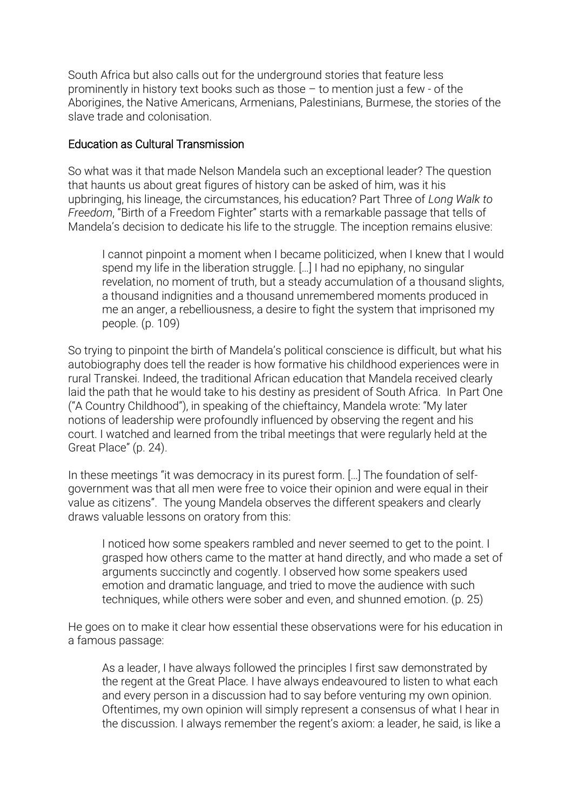South Africa but also calls out for the underground stories that feature less prominently in history text books such as those – to mention just a few - of the Aborigines, the Native Americans, Armenians, Palestinians, Burmese, the stories of the slave trade and colonisation.

### Education as Cultural Transmission

So what was it that made Nelson Mandela such an exceptional leader? The question that haunts us about great figures of history can be asked of him, was it his upbringing, his lineage, the circumstances, his education? Part Three of *Long Walk to Freedom*, "Birth of a Freedom Fighter" starts with a remarkable passage that tells of Mandela's decision to dedicate his life to the struggle. The inception remains elusive:

I cannot pinpoint a moment when I became politicized, when I knew that I would spend my life in the liberation struggle. […] I had no epiphany, no singular revelation, no moment of truth, but a steady accumulation of a thousand slights, a thousand indignities and a thousand unremembered moments produced in me an anger, a rebelliousness, a desire to fight the system that imprisoned my people. (p. 109)

So trying to pinpoint the birth of Mandela's political conscience is difficult, but what his autobiography does tell the reader is how formative his childhood experiences were in rural Transkei. Indeed, the traditional African education that Mandela received clearly laid the path that he would take to his destiny as president of South Africa. In Part One ("A Country Childhood"), in speaking of the chieftaincy, Mandela wrote: "My later notions of leadership were profoundly influenced by observing the regent and his court. I watched and learned from the tribal meetings that were regularly held at the Great Place" (p. 24).

In these meetings "it was democracy in its purest form. […] The foundation of selfgovernment was that all men were free to voice their opinion and were equal in their value as citizens". The young Mandela observes the different speakers and clearly draws valuable lessons on oratory from this:

I noticed how some speakers rambled and never seemed to get to the point. I grasped how others came to the matter at hand directly, and who made a set of arguments succinctly and cogently. I observed how some speakers used emotion and dramatic language, and tried to move the audience with such techniques, while others were sober and even, and shunned emotion. (p. 25)

He goes on to make it clear how essential these observations were for his education in a famous passage:

As a leader, I have always followed the principles I first saw demonstrated by the regent at the Great Place. I have always endeavoured to listen to what each and every person in a discussion had to say before venturing my own opinion. Oftentimes, my own opinion will simply represent a consensus of what I hear in the discussion. I always remember the regent's axiom: a leader, he said, is like a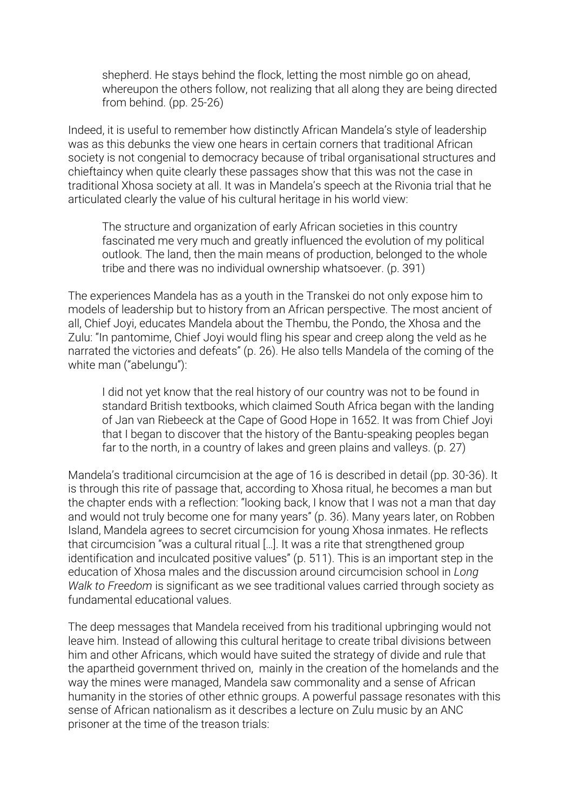shepherd. He stays behind the flock, letting the most nimble go on ahead, whereupon the others follow, not realizing that all along they are being directed from behind. (pp. 25-26)

Indeed, it is useful to remember how distinctly African Mandela's style of leadership was as this debunks the view one hears in certain corners that traditional African society is not congenial to democracy because of tribal organisational structures and chieftaincy when quite clearly these passages show that this was not the case in traditional Xhosa society at all. It was in Mandela's speech at the Rivonia trial that he articulated clearly the value of his cultural heritage in his world view:

The structure and organization of early African societies in this country fascinated me very much and greatly influenced the evolution of my political outlook. The land, then the main means of production, belonged to the whole tribe and there was no individual ownership whatsoever. (p. 391)

The experiences Mandela has as a youth in the Transkei do not only expose him to models of leadership but to history from an African perspective. The most ancient of all, Chief Joyi, educates Mandela about the Thembu, the Pondo, the Xhosa and the Zulu: "In pantomime, Chief Joyi would fling his spear and creep along the veld as he narrated the victories and defeats" (p. 26). He also tells Mandela of the coming of the white man ("abelungu"):

I did not yet know that the real history of our country was not to be found in standard British textbooks, which claimed South Africa began with the landing of Jan van Riebeeck at the Cape of Good Hope in 1652. It was from Chief Joyi that I began to discover that the history of the Bantu-speaking peoples began far to the north, in a country of lakes and green plains and valleys. (p. 27)

Mandela's traditional circumcision at the age of 16 is described in detail (pp. 30-36). It is through this rite of passage that, according to Xhosa ritual, he becomes a man but the chapter ends with a reflection: "looking back, I know that I was not a man that day and would not truly become one for many years" (p. 36). Many years later, on Robben Island, Mandela agrees to secret circumcision for young Xhosa inmates. He reflects that circumcision "was a cultural ritual […]. It was a rite that strengthened group identification and inculcated positive values" (p. 511). This is an important step in the education of Xhosa males and the discussion around circumcision school in *Long Walk to Freedom* is significant as we see traditional values carried through society as fundamental educational values.

The deep messages that Mandela received from his traditional upbringing would not leave him. Instead of allowing this cultural heritage to create tribal divisions between him and other Africans, which would have suited the strategy of divide and rule that the apartheid government thrived on, mainly in the creation of the homelands and the way the mines were managed, Mandela saw commonality and a sense of African humanity in the stories of other ethnic groups. A powerful passage resonates with this sense of African nationalism as it describes a lecture on Zulu music by an ANC prisoner at the time of the treason trials: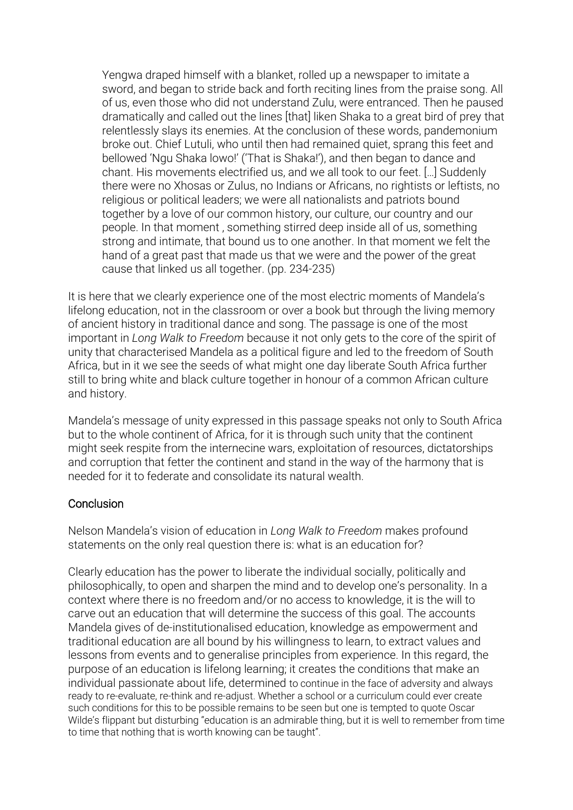Yengwa draped himself with a blanket, rolled up a newspaper to imitate a sword, and began to stride back and forth reciting lines from the praise song. All of us, even those who did not understand Zulu, were entranced. Then he paused dramatically and called out the lines [that] liken Shaka to a great bird of prey that relentlessly slays its enemies. At the conclusion of these words, pandemonium broke out. Chief Lutuli, who until then had remained quiet, sprang this feet and bellowed 'Ngu Shaka lowo!' ('That is Shaka!'), and then began to dance and chant. His movements electrified us, and we all took to our feet. […] Suddenly there were no Xhosas or Zulus, no Indians or Africans, no rightists or leftists, no religious or political leaders; we were all nationalists and patriots bound together by a love of our common history, our culture, our country and our people. In that moment , something stirred deep inside all of us, something strong and intimate, that bound us to one another. In that moment we felt the hand of a great past that made us that we were and the power of the great cause that linked us all together. (pp. 234-235)

It is here that we clearly experience one of the most electric moments of Mandela's lifelong education, not in the classroom or over a book but through the living memory of ancient history in traditional dance and song. The passage is one of the most important in *Long Walk to Freedom* because it not only gets to the core of the spirit of unity that characterised Mandela as a political figure and led to the freedom of South Africa, but in it we see the seeds of what might one day liberate South Africa further still to bring white and black culture together in honour of a common African culture and history.

Mandela's message of unity expressed in this passage speaks not only to South Africa but to the whole continent of Africa, for it is through such unity that the continent might seek respite from the internecine wars, exploitation of resources, dictatorships and corruption that fetter the continent and stand in the way of the harmony that is needed for it to federate and consolidate its natural wealth.

# **Conclusion**

Nelson Mandela's vision of education in *Long Walk to Freedom* makes profound statements on the only real question there is: what is an education for?

Clearly education has the power to liberate the individual socially, politically and philosophically, to open and sharpen the mind and to develop one's personality. In a context where there is no freedom and/or no access to knowledge, it is the will to carve out an education that will determine the success of this goal. The accounts Mandela gives of de-institutionalised education, knowledge as empowerment and traditional education are all bound by his willingness to learn, to extract values and lessons from events and to generalise principles from experience. In this regard, the purpose of an education is lifelong learning; it creates the conditions that make an individual passionate about life, determined to continue in the face of adversity and always ready to re-evaluate, re-think and re-adjust. Whether a school or a curriculum could ever create such conditions for this to be possible remains to be seen but one is tempted to quote Oscar Wilde's flippant but disturbing "education is an admirable thing, but it is well to remember from time to time that nothing that is worth knowing can be taught".